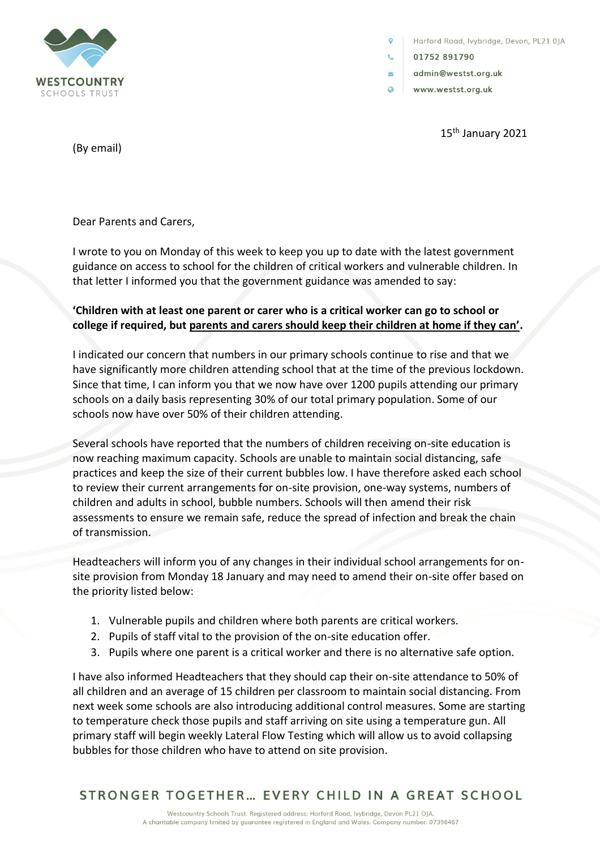

Harford Road, lvybridge, Devon, PL21 0JA

01752 891790

 $\overline{\mathbf{v}}$ 

- admin@westst.org.uk
- $\bullet$ www.westst.org.uk

15<sup>th</sup> January 2021

(By email)

Dear Parents and Carers,

I wrote to you on Monday of this week to keep you up to date with the latest government guidance on access to school for the children of critical workers and vulnerable children. In that letter I informed you that the government guidance was amended to say:

## **'Children with at least one parent or carer who is a critical worker can go to school or college if required, but parents and carers should keep their children at home if they can'.**

I indicated our concern that numbers in our primary schools continue to rise and that we have significantly more children attending school that at the time of the previous lockdown. Since that time, I can inform you that we now have over 1200 pupils attending our primary schools on a daily basis representing 30% of our total primary population. Some of our schools now have over 50% of their children attending.

Several schools have reported that the numbers of children receiving on-site education is now reaching maximum capacity. Schools are unable to maintain social distancing, safe practices and keep the size of their current bubbles low. I have therefore asked each school to review their current arrangements for on-site provision, one-way systems, numbers of children and adults in school, bubble numbers. Schools will then amend their risk assessments to ensure we remain safe, reduce the spread of infection and break the chain of transmission.

Headteachers will inform you of any changes in their individual school arrangements for onsite provision from Monday 18 January and may need to amend their on-site offer based on the priority listed below:

- 1. Vulnerable pupils and children where both parents are critical workers.
- 2. Pupils of staff vital to the provision of the on-site education offer.
- 3. Pupils where one parent is a critical worker and there is no alternative safe option.

I have also informed Headteachers that they should cap their on-site attendance to 50% of all children and an average of 15 children per classroom to maintain social distancing. From next week some schools are also introducing additional control measures. Some are starting to temperature check those pupils and staff arriving on site using a temperature gun. All primary staff will begin weekly Lateral Flow Testing which will allow us to avoid collapsing bubbles for those children who have to attend on site provision.

STRONGER TOGETHER... EVERY CHILD IN A GREAT SCHOOL